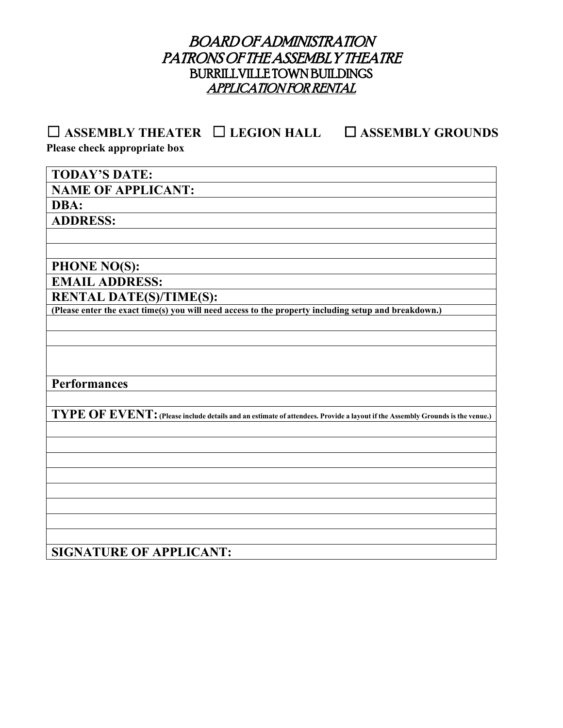# BOARD OF ADMINISTRATION PATRONS OF THE ASSEMBLY THEATRE BURRILLVILLE TOWN BUILDINGS APPLICATION FOR RENTAL

☐ **ASSEMBLY THEATER** ☐ **LEGION HALL** ☐ **ASSEMBLY GROUNDS Please check appropriate box**

**TODAY'S DATE: NAME OF APPLICANT: DBA: ADDRESS: PHONE NO(S): EMAIL ADDRESS:**<br>**RENTAL DATE(S)/TIME(S): (Please enter the exact time(s) you will need access to the property including setup and breakdown.)** 

**Performances** 

**TYPE OF EVENT:(Please include details and an estimate of attendees. Provide a layout if the Assembly Grounds is the venue.)**

# **SIGNATURE OF APPLICANT:**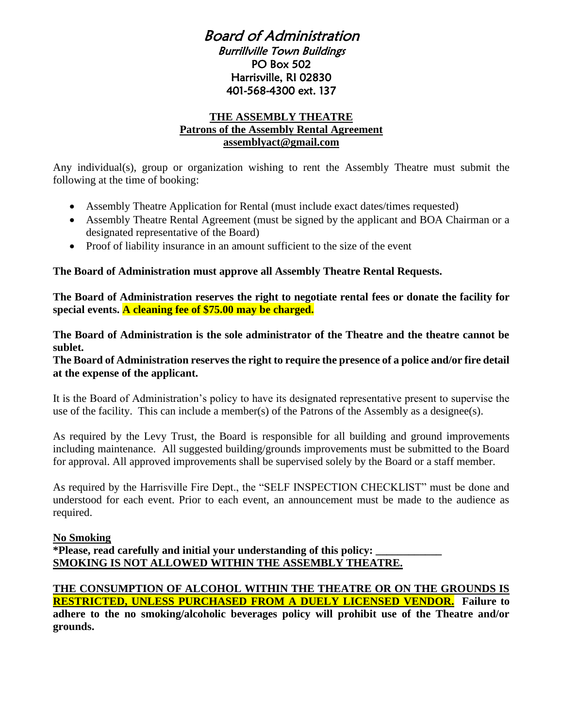## Board of Administration Burrillville Town Buildings PO Box 502 Harrisville, RI 02830 401-568-4300 ext. 137

#### **THE ASSEMBLY THEATRE Patrons of the Assembly Rental Agreement assemblyact@gmail.com**

Any individual(s), group or organization wishing to rent the Assembly Theatre must submit the following at the time of booking:

- Assembly Theatre Application for Rental (must include exact dates/times requested)
- Assembly Theatre Rental Agreement (must be signed by the applicant and BOA Chairman or a designated representative of the Board)
- Proof of liability insurance in an amount sufficient to the size of the event

#### **The Board of Administration must approve all Assembly Theatre Rental Requests.**

**The Board of Administration reserves the right to negotiate rental fees or donate the facility for special events. A cleaning fee of \$75.00 may be charged.**

**The Board of Administration is the sole administrator of the Theatre and the theatre cannot be sublet.** 

#### **The Board of Administration reserves the right to require the presence of a police and/or fire detail at the expense of the applicant.**

It is the Board of Administration's policy to have its designated representative present to supervise the use of the facility. This can include a member(s) of the Patrons of the Assembly as a designee(s).

As required by the Levy Trust, the Board is responsible for all building and ground improvements including maintenance. All suggested building/grounds improvements must be submitted to the Board for approval. All approved improvements shall be supervised solely by the Board or a staff member.

As required by the Harrisville Fire Dept., the "SELF INSPECTION CHECKLIST" must be done and understood for each event. Prior to each event, an announcement must be made to the audience as required.

## **No Smoking**

**\*Please, read carefully and initial your understanding of this policy: \_\_\_\_\_\_\_\_\_\_\_\_ SMOKING IS NOT ALLOWED WITHIN THE ASSEMBLY THEATRE.** 

#### **THE CONSUMPTION OF ALCOHOL WITHIN THE THEATRE OR ON THE GROUNDS IS RESTRICTED, UNLESS PURCHASED FROM A DUELY LICENSED VENDOR. Failure to adhere to the no smoking/alcoholic beverages policy will prohibit use of the Theatre and/or grounds.**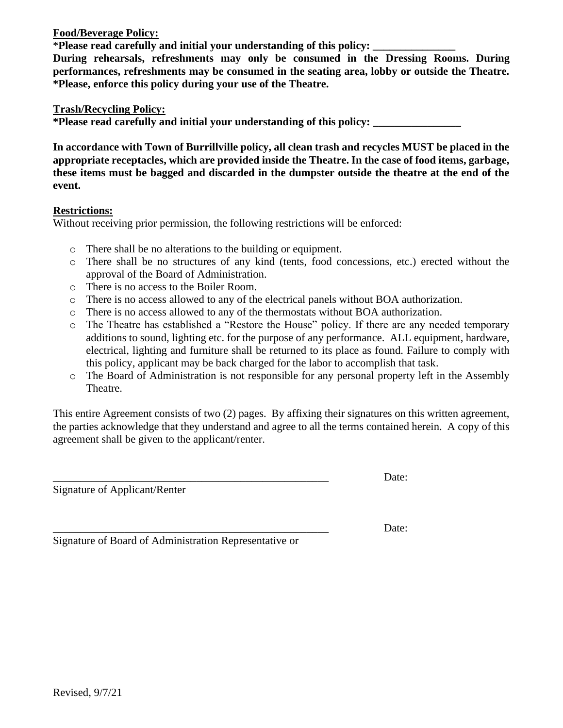**Food/Beverage Policy:**

\***Please read carefully and initial your understanding of this policy: \_\_\_\_\_\_\_\_\_\_\_\_\_\_\_**

**During rehearsals, refreshments may only be consumed in the Dressing Rooms. During performances, refreshments may be consumed in the seating area, lobby or outside the Theatre. \*Please, enforce this policy during your use of the Theatre.**

**Trash/Recycling Policy:**

**\*Please read carefully and initial your understanding of this policy: \_\_\_\_\_\_\_\_\_\_\_\_\_\_\_\_**

**In accordance with Town of Burrillville policy, all clean trash and recycles MUST be placed in the appropriate receptacles, which are provided inside the Theatre. In the case of food items, garbage, these items must be bagged and discarded in the dumpster outside the theatre at the end of the event.**

#### **Restrictions:**

Without receiving prior permission, the following restrictions will be enforced:

- o There shall be no alterations to the building or equipment.
- o There shall be no structures of any kind (tents, food concessions, etc.) erected without the approval of the Board of Administration.
- o There is no access to the Boiler Room.
- o There is no access allowed to any of the electrical panels without BOA authorization.
- o There is no access allowed to any of the thermostats without BOA authorization.
- o The Theatre has established a "Restore the House" policy. If there are any needed temporary additions to sound, lighting etc. for the purpose of any performance. ALL equipment, hardware, electrical, lighting and furniture shall be returned to its place as found. Failure to comply with this policy, applicant may be back charged for the labor to accomplish that task.
- o The Board of Administration is not responsible for any personal property left in the Assembly Theatre.

This entire Agreement consists of two (2) pages. By affixing their signatures on this written agreement, the parties acknowledge that they understand and agree to all the terms contained herein. A copy of this agreement shall be given to the applicant/renter.

Signature of Applicant/Renter

\_\_\_\_\_\_\_\_\_\_\_\_\_\_\_\_\_\_\_\_\_\_\_\_\_\_\_\_\_\_\_\_\_\_\_\_\_\_\_\_\_\_\_\_\_\_\_\_\_\_ Date:

\_\_\_\_\_\_\_\_\_\_\_\_\_\_\_\_\_\_\_\_\_\_\_\_\_\_\_\_\_\_\_\_\_\_\_\_\_\_\_\_\_\_\_\_\_\_\_\_\_\_ Date:

Signature of Board of Administration Representative or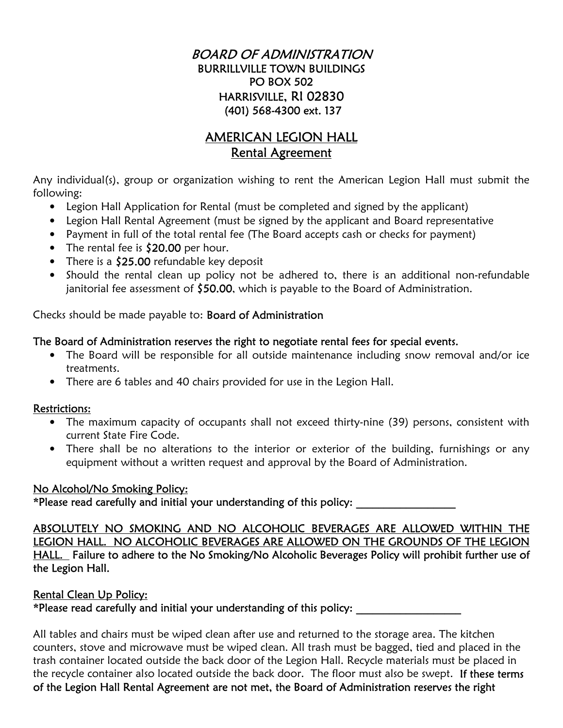## BOARD OF ADMINISTRATION BURRILLVILLE TOWN BUILDINGS PO BOX 502 HARRISVILLE, RI 02830 (401) 568-4300 ext. 137

# AMERICAN LEGION HALL Rental Agreement

Any individual(s), group or organization wishing to rent the American Legion Hall must submit the following:

- Legion Hall Application for Rental (must be completed and signed by the applicant)
- Legion Hall Rental Agreement (must be signed by the applicant and Board representative
- Payment in full of the total rental fee (The Board accepts cash or checks for payment)
- The rental fee is \$20.00 per hour.
- There is a \$25.00 refundable key deposit
- Should the rental clean up policy not be adhered to, there is an additional non-refundable janitorial fee assessment of \$50.00, which is payable to the Board of Administration.

Checks should be made payable to: Board of Administration

#### The Board of Administration reserves the right to negotiate rental fees for special events.

- The Board will be responsible for all outside maintenance including snow removal and/or ice treatments.
- There are 6 tables and 40 chairs provided for use in the Legion Hall.

## Restrictions:

- The maximum capacity of occupants shall not exceed thirty-nine (39) persons, consistent with current State Fire Code.
- There shall be no alterations to the interior or exterior of the building, furnishings or any equipment without a written request and approval by the Board of Administration.

## No Alcohol/No Smoking Policy:

\*Please read carefully and initial your understanding of this policy: \_\_\_\_\_\_\_\_\_\_\_\_\_\_\_\_\_\_

ABSOLUTELY NO SMOKING AND NO ALCOHOLIC BEVERAGES ARE ALLOWED WITHIN THE LEGION HALL. NO ALCOHOLIC BEVERAGES ARE ALLOWED ON THE GROUNDS OF THE LEGION HALL. Failure to adhere to the No Smoking/No Alcoholic Beverages Policy will prohibit further use of the Legion Hall.

## Rental Clean Up Policy:

\*Please read carefully and initial your understanding of this policy: \_\_\_\_\_\_\_\_\_\_\_\_\_\_\_\_\_\_\_

All tables and chairs must be wiped clean after use and returned to the storage area. The kitchen counters, stove and microwave must be wiped clean. All trash must be bagged, tied and placed in the trash container located outside the back door of the Legion Hall. Recycle materials must be placed in the recycle container also located outside the back door. The floor must also be swept. If these terms of the Legion Hall Rental Agreement are not met, the Board of Administration reserves the right